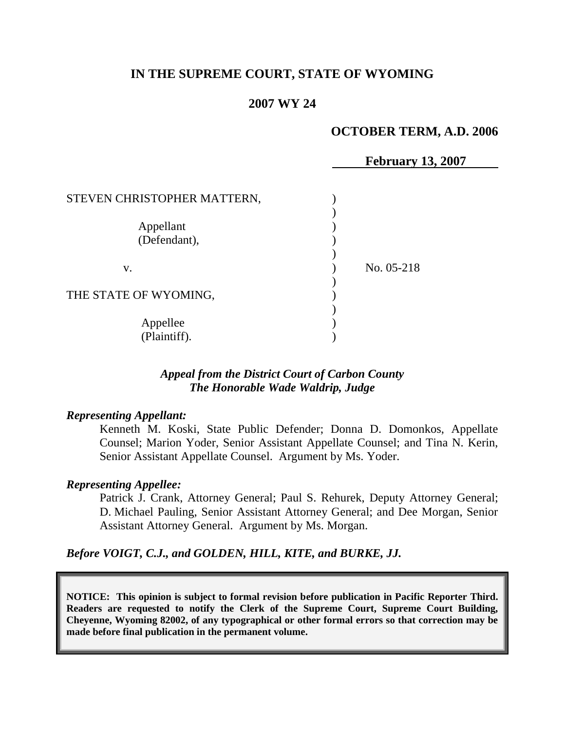# **IN THE SUPREME COURT, STATE OF WYOMING**

## **2007 WY 24**

## **OCTOBER TERM, A.D. 2006**

|                             | <b>February 13, 2007</b> |
|-----------------------------|--------------------------|
|                             |                          |
| STEVEN CHRISTOPHER MATTERN, |                          |
|                             |                          |
| Appellant                   |                          |
| (Defendant),                |                          |
|                             |                          |
| V.                          | No. 05-218               |
|                             |                          |
| THE STATE OF WYOMING,       |                          |
|                             |                          |
| Appellee                    |                          |
| (Plaintiff).                |                          |

## *Appeal from the District Court of Carbon County The Honorable Wade Waldrip, Judge*

### *Representing Appellant:*

Kenneth M. Koski, State Public Defender; Donna D. Domonkos, Appellate Counsel; Marion Yoder, Senior Assistant Appellate Counsel; and Tina N. Kerin, Senior Assistant Appellate Counsel. Argument by Ms. Yoder.

### *Representing Appellee:*

Patrick J. Crank, Attorney General; Paul S. Rehurek, Deputy Attorney General; D. Michael Pauling, Senior Assistant Attorney General; and Dee Morgan, Senior Assistant Attorney General. Argument by Ms. Morgan.

*Before VOIGT, C.J., and GOLDEN, HILL, KITE, and BURKE, JJ.*

**NOTICE: This opinion is subject to formal revision before publication in Pacific Reporter Third. Readers are requested to notify the Clerk of the Supreme Court, Supreme Court Building, Cheyenne, Wyoming 82002, of any typographical or other formal errors so that correction may be made before final publication in the permanent volume.**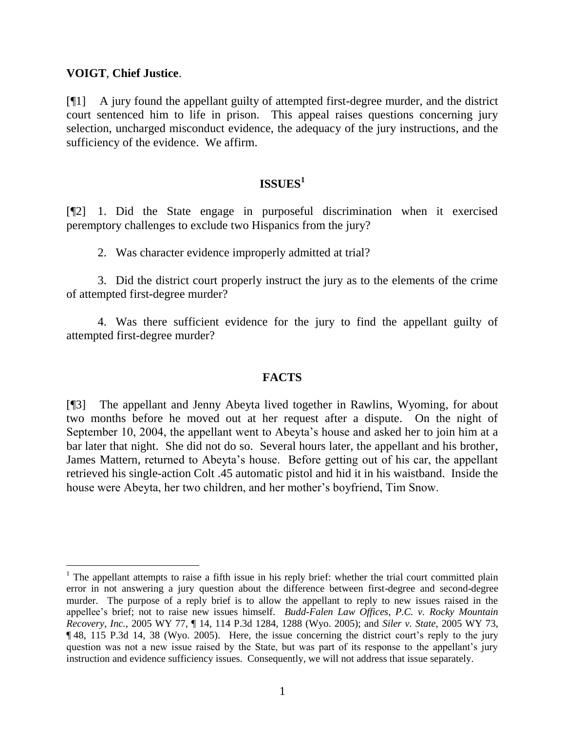### **VOIGT**, **Chief Justice**.

 $\overline{a}$ 

[¶1] A jury found the appellant guilty of attempted first-degree murder, and the district court sentenced him to life in prison. This appeal raises questions concerning jury selection, uncharged misconduct evidence, the adequacy of the jury instructions, and the sufficiency of the evidence. We affirm.

# **ISSUES<sup>1</sup>**

[¶2] 1. Did the State engage in purposeful discrimination when it exercised peremptory challenges to exclude two Hispanics from the jury?

2. Was character evidence improperly admitted at trial?

3. Did the district court properly instruct the jury as to the elements of the crime of attempted first-degree murder?

4. Was there sufficient evidence for the jury to find the appellant guilty of attempted first-degree murder?

### **FACTS**

[¶3] The appellant and Jenny Abeyta lived together in Rawlins, Wyoming, for about two months before he moved out at her request after a dispute. On the night of September 10, 2004, the appellant went to Abeyta's house and asked her to join him at a bar later that night. She did not do so. Several hours later, the appellant and his brother, James Mattern, returned to Abeyta's house. Before getting out of his car, the appellant retrieved his single-action Colt .45 automatic pistol and hid it in his waistband. Inside the house were Abeyta, her two children, and her mother's boyfriend, Tim Snow.

<sup>&</sup>lt;sup>1</sup> The appellant attempts to raise a fifth issue in his reply brief: whether the trial court committed plain error in not answering a jury question about the difference between first-degree and second-degree murder. The purpose of a reply brief is to allow the appellant to reply to new issues raised in the appellee's brief; not to raise new issues himself. *Budd-Falen Law Offices, P.C. v. Rocky Mountain Recovery, Inc.*, 2005 WY 77, ¶ 14, 114 P.3d 1284, 1288 (Wyo. 2005); and *Siler v. State*, 2005 WY 73, ¶ 48, 115 P.3d 14, 38 (Wyo. 2005). Here, the issue concerning the district court's reply to the jury question was not a new issue raised by the State, but was part of its response to the appellant's jury instruction and evidence sufficiency issues. Consequently, we will not address that issue separately.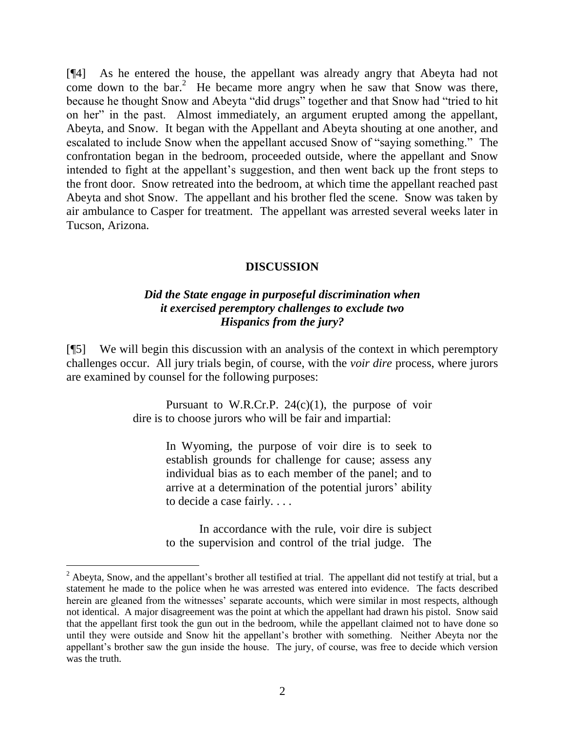[¶4] As he entered the house, the appellant was already angry that Abeyta had not come down to the bar.<sup>2</sup> He became more angry when he saw that Snow was there, because he thought Snow and Abeyta "did drugs" together and that Snow had "tried to hit on her" in the past. Almost immediately, an argument erupted among the appellant, Abeyta, and Snow. It began with the Appellant and Abeyta shouting at one another, and escalated to include Snow when the appellant accused Snow of "saying something." The confrontation began in the bedroom, proceeded outside, where the appellant and Snow intended to fight at the appellant's suggestion, and then went back up the front steps to the front door. Snow retreated into the bedroom, at which time the appellant reached past Abeyta and shot Snow. The appellant and his brother fled the scene. Snow was taken by air ambulance to Casper for treatment. The appellant was arrested several weeks later in Tucson, Arizona.

### **DISCUSSION**

### *Did the State engage in purposeful discrimination when it exercised peremptory challenges to exclude two Hispanics from the jury?*

[¶5] We will begin this discussion with an analysis of the context in which peremptory challenges occur. All jury trials begin, of course, with the *voir dire* process, where jurors are examined by counsel for the following purposes:

> Pursuant to W.R.Cr.P.  $24(c)(1)$ , the purpose of voir dire is to choose jurors who will be fair and impartial:

> > In Wyoming, the purpose of voir dire is to seek to establish grounds for challenge for cause; assess any individual bias as to each member of the panel; and to arrive at a determination of the potential jurors' ability to decide a case fairly. . . .

> > In accordance with the rule, voir dire is subject to the supervision and control of the trial judge. The

 $2$  Abeyta, Snow, and the appellant's brother all testified at trial. The appellant did not testify at trial, but a statement he made to the police when he was arrested was entered into evidence. The facts described herein are gleaned from the witnesses' separate accounts, which were similar in most respects, although not identical. A major disagreement was the point at which the appellant had drawn his pistol. Snow said that the appellant first took the gun out in the bedroom, while the appellant claimed not to have done so until they were outside and Snow hit the appellant's brother with something. Neither Abeyta nor the appellant's brother saw the gun inside the house. The jury, of course, was free to decide which version was the truth.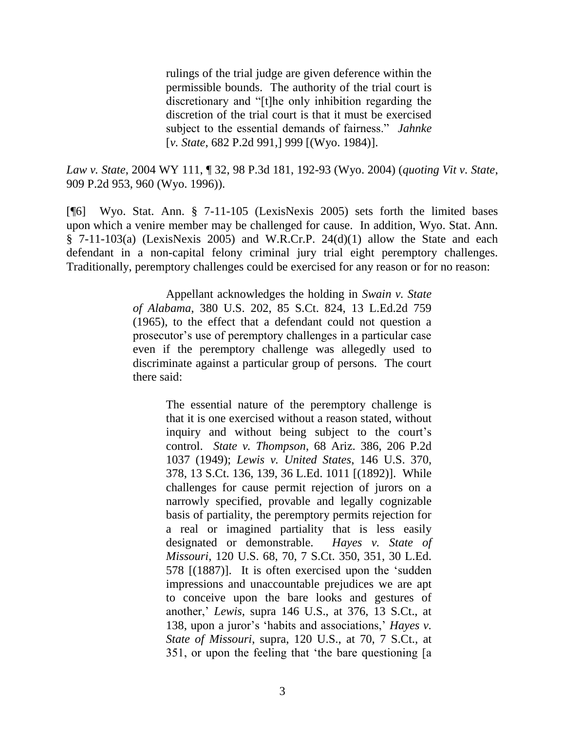rulings of the trial judge are given deference within the permissible bounds. The authority of the trial court is discretionary and "[t]he only inhibition regarding the discretion of the trial court is that it must be exercised subject to the essential demands of fairness." *Jahnke* [*v. State*, 682 P.2d 991,] 999 [(Wyo. 1984)].

*Law v. State*, 2004 WY 111, ¶ 32, 98 P.3d 181, 192-93 (Wyo. 2004) (*quoting Vit v. State*, 909 P.2d 953, 960 (Wyo. 1996)).

[¶6] Wyo. Stat. Ann. § 7-11-105 (LexisNexis 2005) sets forth the limited bases upon which a venire member may be challenged for cause. In addition, Wyo. Stat. Ann. § 7-11-103(a) (LexisNexis 2005) and W.R.Cr.P. 24(d)(1) allow the State and each defendant in a non-capital felony criminal jury trial eight peremptory challenges. Traditionally, peremptory challenges could be exercised for any reason or for no reason:

> Appellant acknowledges the holding in *Swain v. State of Alabama*, 380 U.S. 202, 85 S.Ct. 824, 13 L.Ed.2d 759 (1965), to the effect that a defendant could not question a prosecutor's use of peremptory challenges in a particular case even if the peremptory challenge was allegedly used to discriminate against a particular group of persons. The court there said:

> > The essential nature of the peremptory challenge is that it is one exercised without a reason stated, without inquiry and without being subject to the court's control. *State v. Thompson*, 68 Ariz. 386, 206 P.2d 1037 (1949); *Lewis v. United States*, 146 U.S. 370, 378, 13 S.Ct. 136, 139, 36 L.Ed. 1011 [(1892)]. While challenges for cause permit rejection of jurors on a narrowly specified, provable and legally cognizable basis of partiality, the peremptory permits rejection for a real or imagined partiality that is less easily designated or demonstrable. *Hayes v. State of Missouri*, 120 U.S. 68, 70, 7 S.Ct. 350, 351, 30 L.Ed.  $578$   $[(1887)]$ . It is often exercised upon the 'sudden impressions and unaccountable prejudices we are apt to conceive upon the bare looks and gestures of another,' *Lewis*, supra 146 U.S., at 376, 13 S.Ct., at 138, upon a juror's ‗habits and associations,' *Hayes v. State of Missouri*, supra, 120 U.S., at 70, 7 S.Ct., at 351, or upon the feeling that 'the bare questioning [a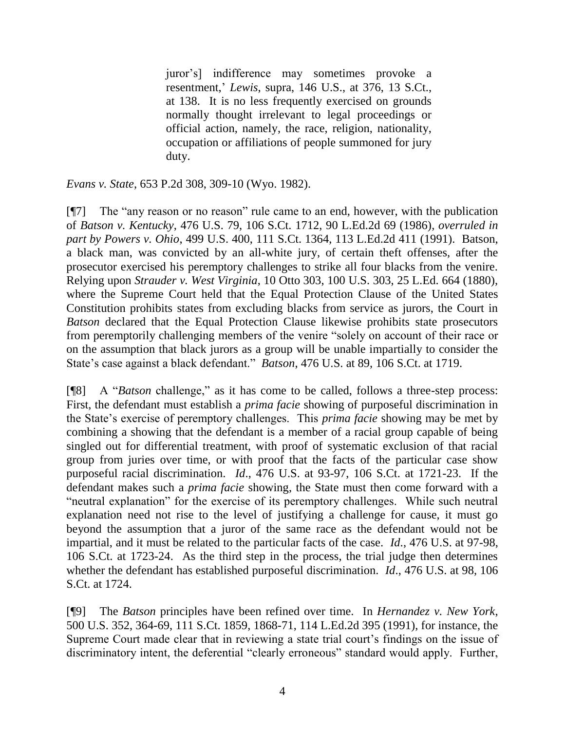juror's] indifference may sometimes provoke a resentment,' *Lewis*, supra, 146 U.S., at 376, 13 S.Ct., at 138. It is no less frequently exercised on grounds normally thought irrelevant to legal proceedings or official action, namely, the race, religion, nationality, occupation or affiliations of people summoned for jury duty.

*Evans v. State*, 653 P.2d 308, 309-10 (Wyo. 1982).

 $[$ [ $\degree$ ] The "any reason or no reason" rule came to an end, however, with the publication of *Batson v. Kentucky*, 476 U.S. 79, 106 S.Ct. 1712, 90 L.Ed.2d 69 (1986), *overruled in part by Powers v. Ohio*, 499 U.S. 400, 111 S.Ct. 1364, 113 L.Ed.2d 411 (1991). Batson, a black man, was convicted by an all-white jury, of certain theft offenses, after the prosecutor exercised his peremptory challenges to strike all four blacks from the venire. Relying upon *Strauder v. West Virginia*, 10 Otto 303, 100 U.S. 303, 25 L.Ed. 664 (1880), where the Supreme Court held that the Equal Protection Clause of the United States Constitution prohibits states from excluding blacks from service as jurors, the Court in *Batson* declared that the Equal Protection Clause likewise prohibits state prosecutors from peremptorily challenging members of the venire "solely on account of their race or on the assumption that black jurors as a group will be unable impartially to consider the State's case against a black defendant." *Batson*, 476 U.S. at 89, 106 S.Ct. at 1719.

[¶8] A "*Batson* challenge," as it has come to be called, follows a three-step process: First, the defendant must establish a *prima facie* showing of purposeful discrimination in the State's exercise of peremptory challenges. This *prima facie* showing may be met by combining a showing that the defendant is a member of a racial group capable of being singled out for differential treatment, with proof of systematic exclusion of that racial group from juries over time, or with proof that the facts of the particular case show purposeful racial discrimination. *Id*., 476 U.S. at 93-97, 106 S.Ct. at 1721-23. If the defendant makes such a *prima facie* showing, the State must then come forward with a "neutral explanation" for the exercise of its peremptory challenges. While such neutral explanation need not rise to the level of justifying a challenge for cause, it must go beyond the assumption that a juror of the same race as the defendant would not be impartial, and it must be related to the particular facts of the case. *Id*., 476 U.S. at 97-98, 106 S.Ct. at 1723-24. As the third step in the process, the trial judge then determines whether the defendant has established purposeful discrimination. *Id*., 476 U.S. at 98, 106 S.Ct. at 1724.

[¶9] The *Batson* principles have been refined over time. In *Hernandez v. New York*, 500 U.S. 352, 364-69, 111 S.Ct. 1859, 1868-71, 114 L.Ed.2d 395 (1991), for instance, the Supreme Court made clear that in reviewing a state trial court's findings on the issue of discriminatory intent, the deferential "clearly erroneous" standard would apply. Further,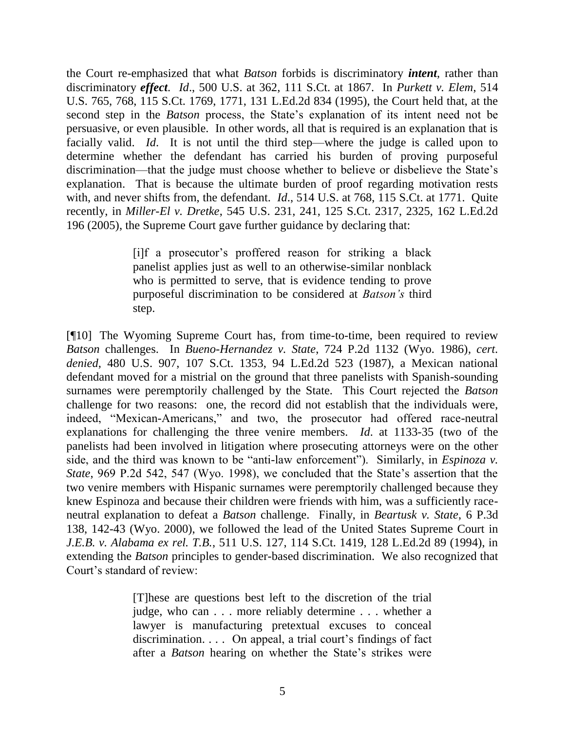the Court re-emphasized that what *Batson* forbids is discriminatory *intent*, rather than discriminatory *effect*. *Id*., 500 U.S. at 362, 111 S.Ct. at 1867. In *Purkett v. Elem*, 514 U.S. 765, 768, 115 S.Ct. 1769, 1771, 131 L.Ed.2d 834 (1995), the Court held that, at the second step in the *Batson* process, the State's explanation of its intent need not be persuasive, or even plausible. In other words, all that is required is an explanation that is facially valid. *Id*. It is not until the third step—where the judge is called upon to determine whether the defendant has carried his burden of proving purposeful discrimination—that the judge must choose whether to believe or disbelieve the State's explanation. That is because the ultimate burden of proof regarding motivation rests with, and never shifts from, the defendant. *Id*., 514 U.S. at 768, 115 S.Ct. at 1771. Quite recently, in *Miller-El v. Dretke*, 545 U.S. 231, 241, 125 S.Ct. 2317, 2325, 162 L.Ed.2d 196 (2005), the Supreme Court gave further guidance by declaring that:

> [i]f a prosecutor's proffered reason for striking a black panelist applies just as well to an otherwise-similar nonblack who is permitted to serve, that is evidence tending to prove purposeful discrimination to be considered at *Batson's* third step.

[¶10] The Wyoming Supreme Court has, from time-to-time, been required to review *Batson* challenges. In *Bueno-Hernandez v. State*, 724 P.2d 1132 (Wyo. 1986), *cert. denied*, 480 U.S. 907, 107 S.Ct. 1353, 94 L.Ed.2d 523 (1987), a Mexican national defendant moved for a mistrial on the ground that three panelists with Spanish-sounding surnames were peremptorily challenged by the State. This Court rejected the *Batson*  challenge for two reasons: one, the record did not establish that the individuals were, indeed, "Mexican-Americans," and two, the prosecutor had offered race-neutral explanations for challenging the three venire members. *Id*. at 1133-35 (two of the panelists had been involved in litigation where prosecuting attorneys were on the other side, and the third was known to be "anti-law enforcement"). Similarly, in *Espinoza v*. *State*, 969 P.2d 542, 547 (Wyo. 1998), we concluded that the State's assertion that the two venire members with Hispanic surnames were peremptorily challenged because they knew Espinoza and because their children were friends with him, was a sufficiently raceneutral explanation to defeat a *Batson* challenge. Finally, in *Beartusk v. State*, 6 P.3d 138, 142-43 (Wyo. 2000), we followed the lead of the United States Supreme Court in *J.E.B. v. Alabama ex rel. T.B.*, 511 U.S. 127, 114 S.Ct. 1419, 128 L.Ed.2d 89 (1994), in extending the *Batson* principles to gender-based discrimination. We also recognized that Court's standard of review:

> [T]hese are questions best left to the discretion of the trial judge, who can . . . more reliably determine . . . whether a lawyer is manufacturing pretextual excuses to conceal discrimination. . . . On appeal, a trial court's findings of fact after a *Batson* hearing on whether the State's strikes were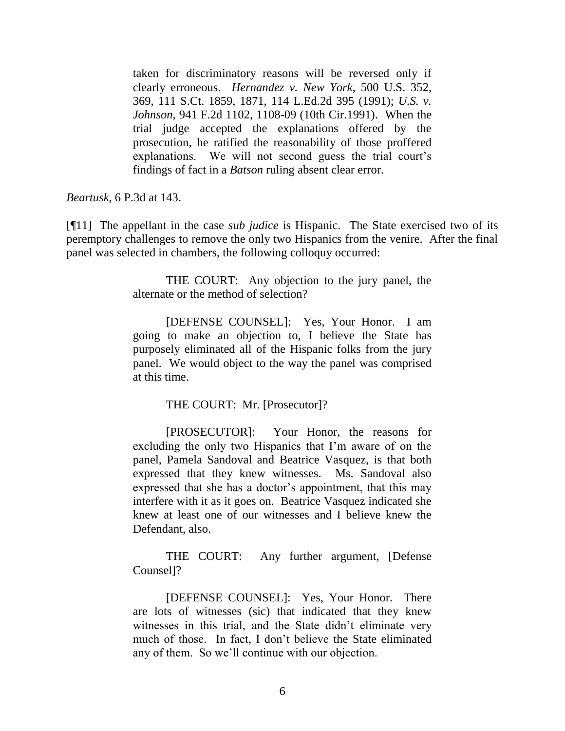taken for discriminatory reasons will be reversed only if clearly erroneous. *Hernandez v. New York*, 500 U.S. 352, 369, 111 S.Ct. 1859, 1871, 114 L.Ed.2d 395 (1991); *U.S. v. Johnson*, 941 F.2d 1102, 1108-09 (10th Cir.1991). When the trial judge accepted the explanations offered by the prosecution, he ratified the reasonability of those proffered explanations. We will not second guess the trial court's findings of fact in a *Batson* ruling absent clear error.

*Beartusk*, 6 P.3d at 143.

[¶11] The appellant in the case *sub judice* is Hispanic. The State exercised two of its peremptory challenges to remove the only two Hispanics from the venire. After the final panel was selected in chambers, the following colloquy occurred:

> THE COURT: Any objection to the jury panel, the alternate or the method of selection?

> [DEFENSE COUNSEL]: Yes, Your Honor. I am going to make an objection to, I believe the State has purposely eliminated all of the Hispanic folks from the jury panel. We would object to the way the panel was comprised at this time.

> > THE COURT: Mr. [Prosecutor]?

[PROSECUTOR]: Your Honor, the reasons for excluding the only two Hispanics that I'm aware of on the panel, Pamela Sandoval and Beatrice Vasquez, is that both expressed that they knew witnesses. Ms. Sandoval also expressed that she has a doctor's appointment, that this may interfere with it as it goes on. Beatrice Vasquez indicated she knew at least one of our witnesses and I believe knew the Defendant, also.

THE COURT: Any further argument, [Defense Counsel]?

[DEFENSE COUNSEL]: Yes, Your Honor. There are lots of witnesses (sic) that indicated that they knew witnesses in this trial, and the State didn't eliminate very much of those. In fact, I don't believe the State eliminated any of them. So we'll continue with our objection.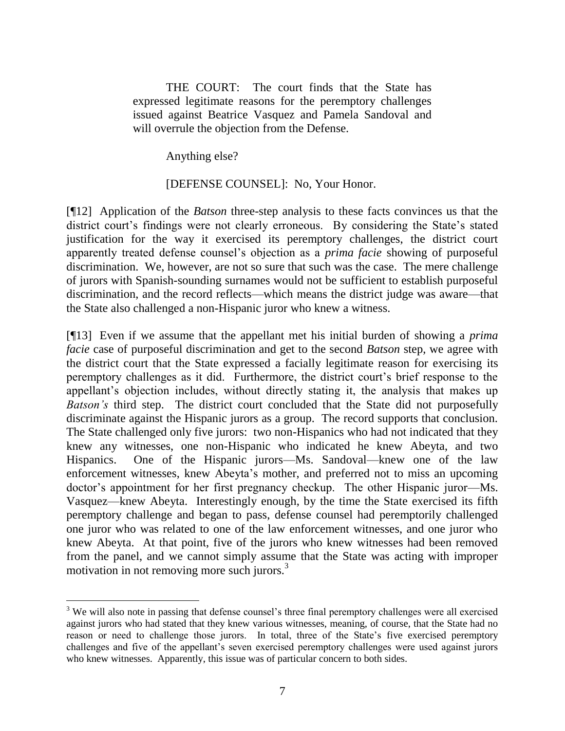THE COURT: The court finds that the State has expressed legitimate reasons for the peremptory challenges issued against Beatrice Vasquez and Pamela Sandoval and will overrule the objection from the Defense.

Anything else?

[DEFENSE COUNSEL]: No, Your Honor.

[¶12] Application of the *Batson* three-step analysis to these facts convinces us that the district court's findings were not clearly erroneous. By considering the State's stated justification for the way it exercised its peremptory challenges, the district court apparently treated defense counsel's objection as a *prima facie* showing of purposeful discrimination. We, however, are not so sure that such was the case. The mere challenge of jurors with Spanish-sounding surnames would not be sufficient to establish purposeful discrimination, and the record reflects—which means the district judge was aware—that the State also challenged a non-Hispanic juror who knew a witness.

[¶13] Even if we assume that the appellant met his initial burden of showing a *prima facie* case of purposeful discrimination and get to the second *Batson* step, we agree with the district court that the State expressed a facially legitimate reason for exercising its peremptory challenges as it did. Furthermore, the district court's brief response to the appellant's objection includes, without directly stating it, the analysis that makes up *Batson's* third step. The district court concluded that the State did not purposefully discriminate against the Hispanic jurors as a group. The record supports that conclusion. The State challenged only five jurors: two non-Hispanics who had not indicated that they knew any witnesses, one non-Hispanic who indicated he knew Abeyta, and two Hispanics. One of the Hispanic jurors—Ms. Sandoval—knew one of the law enforcement witnesses, knew Abeyta's mother, and preferred not to miss an upcoming doctor's appointment for her first pregnancy checkup. The other Hispanic juror—Ms. Vasquez—knew Abeyta. Interestingly enough, by the time the State exercised its fifth peremptory challenge and began to pass, defense counsel had peremptorily challenged one juror who was related to one of the law enforcement witnesses, and one juror who knew Abeyta. At that point, five of the jurors who knew witnesses had been removed from the panel, and we cannot simply assume that the State was acting with improper motivation in not removing more such jurors.<sup>3</sup>

 $\overline{a}$  $3$  We will also note in passing that defense counsel's three final peremptory challenges were all exercised against jurors who had stated that they knew various witnesses, meaning, of course, that the State had no reason or need to challenge those jurors. In total, three of the State's five exercised peremptory challenges and five of the appellant's seven exercised peremptory challenges were used against jurors who knew witnesses. Apparently, this issue was of particular concern to both sides.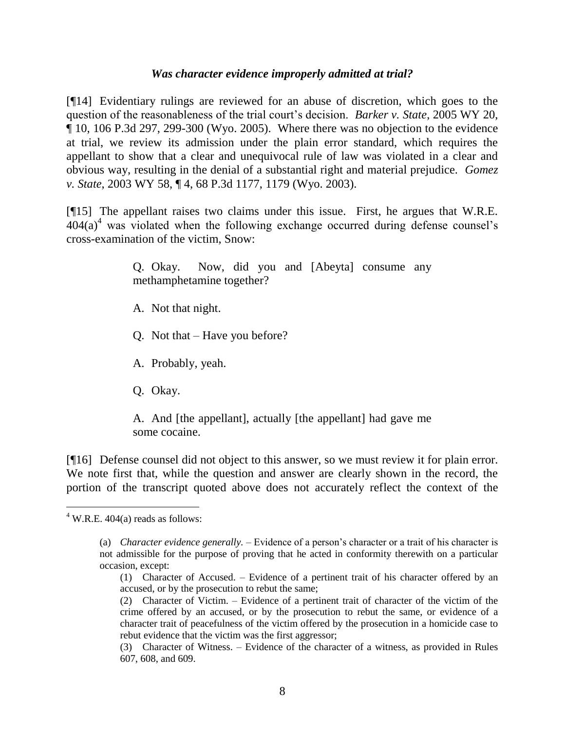### *Was character evidence improperly admitted at trial?*

[¶14] Evidentiary rulings are reviewed for an abuse of discretion, which goes to the question of the reasonableness of the trial court's decision. *Barker v. State*, 2005 WY 20,  $\P$  10, 106 P.3d 297, 299-300 (Wyo. 2005). Where there was no objection to the evidence at trial, we review its admission under the plain error standard, which requires the appellant to show that a clear and unequivocal rule of law was violated in a clear and obvious way, resulting in the denial of a substantial right and material prejudice. *Gomez v. State*, 2003 WY 58, ¶ 4, 68 P.3d 1177, 1179 (Wyo. 2003).

[¶15] The appellant raises two claims under this issue. First, he argues that W.R.E.  $404(a)^4$  was violated when the following exchange occurred during defense counsel's cross-examination of the victim, Snow:

> Q. Okay. Now, did you and [Abeyta] consume any methamphetamine together?

A. Not that night.

Q. Not that – Have you before?

A. Probably, yeah.

Q. Okay.

A. And [the appellant], actually [the appellant] had gave me some cocaine.

[¶16] Defense counsel did not object to this answer, so we must review it for plain error. We note first that, while the question and answer are clearly shown in the record, the portion of the transcript quoted above does not accurately reflect the context of the

 $4$  W.R.E. 404(a) reads as follows:

<sup>(</sup>a) *Character evidence generally.* – Evidence of a person's character or a trait of his character is not admissible for the purpose of proving that he acted in conformity therewith on a particular occasion, except:

<sup>(1)</sup> Character of Accused. – Evidence of a pertinent trait of his character offered by an accused, or by the prosecution to rebut the same;

<sup>(2)</sup> Character of Victim. – Evidence of a pertinent trait of character of the victim of the crime offered by an accused, or by the prosecution to rebut the same, or evidence of a character trait of peacefulness of the victim offered by the prosecution in a homicide case to rebut evidence that the victim was the first aggressor;

<sup>(3)</sup> Character of Witness. – Evidence of the character of a witness, as provided in Rules 607, 608, and 609.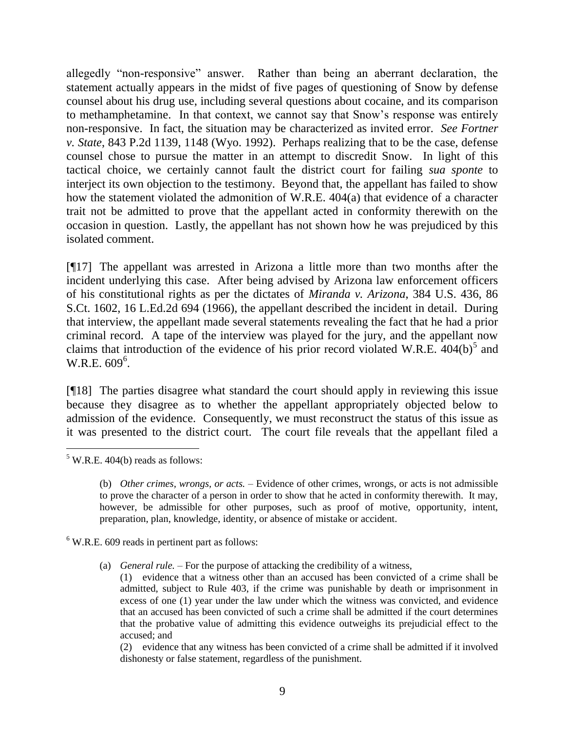allegedly "non-responsive" answer. Rather than being an aberrant declaration, the statement actually appears in the midst of five pages of questioning of Snow by defense counsel about his drug use, including several questions about cocaine, and its comparison to methamphetamine. In that context, we cannot say that Snow's response was entirely non-responsive. In fact, the situation may be characterized as invited error. *See Fortner v. State*, 843 P.2d 1139, 1148 (Wyo. 1992). Perhaps realizing that to be the case, defense counsel chose to pursue the matter in an attempt to discredit Snow. In light of this tactical choice, we certainly cannot fault the district court for failing *sua sponte* to interject its own objection to the testimony. Beyond that, the appellant has failed to show how the statement violated the admonition of W.R.E. 404(a) that evidence of a character trait not be admitted to prove that the appellant acted in conformity therewith on the occasion in question. Lastly, the appellant has not shown how he was prejudiced by this isolated comment.

[¶17] The appellant was arrested in Arizona a little more than two months after the incident underlying this case. After being advised by Arizona law enforcement officers of his constitutional rights as per the dictates of *Miranda v. Arizona*, 384 U.S. 436, 86 S.Ct. 1602, 16 L.Ed.2d 694 (1966), the appellant described the incident in detail. During that interview, the appellant made several statements revealing the fact that he had a prior criminal record. A tape of the interview was played for the jury, and the appellant now claims that introduction of the evidence of his prior record violated W.R.E.  $404(b)^5$  and  $W.R.E. 609<sup>6</sup>$ .

[¶18] The parties disagree what standard the court should apply in reviewing this issue because they disagree as to whether the appellant appropriately objected below to admission of the evidence. Consequently, we must reconstruct the status of this issue as it was presented to the district court. The court file reveals that the appellant filed a

 $6$  W.R.E. 609 reads in pertinent part as follows:

(a) *General rule.* – For the purpose of attacking the credibility of a witness,

(2) evidence that any witness has been convicted of a crime shall be admitted if it involved dishonesty or false statement, regardless of the punishment.

 $5$  W.R.E. 404(b) reads as follows:

<sup>(</sup>b) *Other crimes, wrongs, or acts.* – Evidence of other crimes, wrongs, or acts is not admissible to prove the character of a person in order to show that he acted in conformity therewith. It may, however, be admissible for other purposes, such as proof of motive, opportunity, intent, preparation, plan, knowledge, identity, or absence of mistake or accident.

<sup>(1)</sup> evidence that a witness other than an accused has been convicted of a crime shall be admitted, subject to Rule 403, if the crime was punishable by death or imprisonment in excess of one (1) year under the law under which the witness was convicted, and evidence that an accused has been convicted of such a crime shall be admitted if the court determines that the probative value of admitting this evidence outweighs its prejudicial effect to the accused; and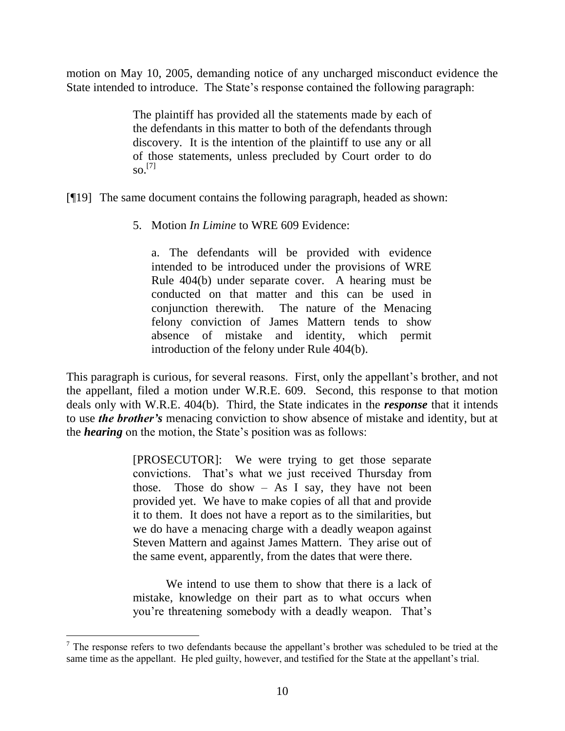motion on May 10, 2005, demanding notice of any uncharged misconduct evidence the State intended to introduce. The State's response contained the following paragraph:

> The plaintiff has provided all the statements made by each of the defendants in this matter to both of the defendants through discovery. It is the intention of the plaintiff to use any or all of those statements, unless precluded by Court order to do so. [7]

[¶19] The same document contains the following paragraph, headed as shown:

5. Motion *In Limine* to WRE 609 Evidence:

a. The defendants will be provided with evidence intended to be introduced under the provisions of WRE Rule 404(b) under separate cover. A hearing must be conducted on that matter and this can be used in conjunction therewith. The nature of the Menacing felony conviction of James Mattern tends to show absence of mistake and identity, which permit introduction of the felony under Rule 404(b).

This paragraph is curious, for several reasons. First, only the appellant's brother, and not the appellant, filed a motion under W.R.E. 609. Second, this response to that motion deals only with W.R.E. 404(b). Third, the State indicates in the *response* that it intends to use *the brother's* menacing conviction to show absence of mistake and identity, but at the *hearing* on the motion, the State's position was as follows:

> [PROSECUTOR]: We were trying to get those separate convictions. That's what we just received Thursday from those. Those do show  $-$  As I say, they have not been provided yet. We have to make copies of all that and provide it to them. It does not have a report as to the similarities, but we do have a menacing charge with a deadly weapon against Steven Mattern and against James Mattern. They arise out of the same event, apparently, from the dates that were there.

> We intend to use them to show that there is a lack of mistake, knowledge on their part as to what occurs when you're threatening somebody with a deadly weapon. That's

 $<sup>7</sup>$  The response refers to two defendants because the appellant's brother was scheduled to be tried at the</sup> same time as the appellant. He pled guilty, however, and testified for the State at the appellant's trial.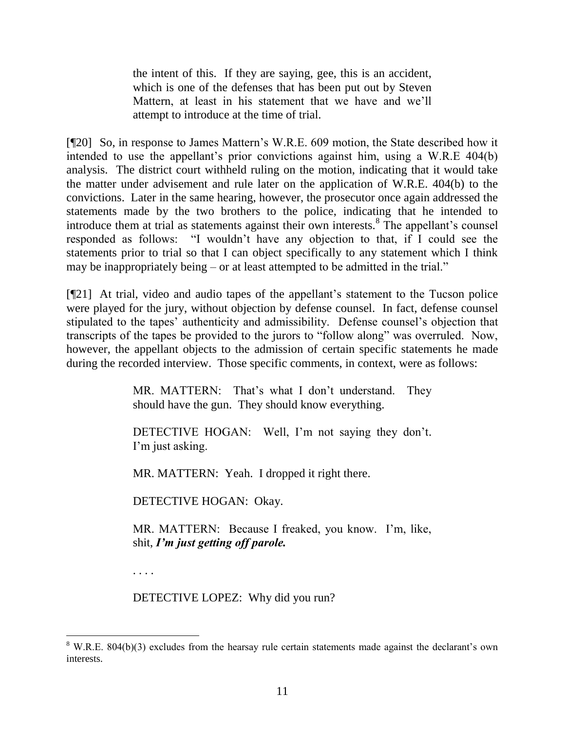the intent of this. If they are saying, gee, this is an accident, which is one of the defenses that has been put out by Steven Mattern, at least in his statement that we have and we'll attempt to introduce at the time of trial.

[¶20] So, in response to James Mattern's W.R.E. 609 motion, the State described how it intended to use the appellant's prior convictions against him, using a W.R.E 404(b) analysis. The district court withheld ruling on the motion, indicating that it would take the matter under advisement and rule later on the application of W.R.E. 404(b) to the convictions. Later in the same hearing, however, the prosecutor once again addressed the statements made by the two brothers to the police, indicating that he intended to introduce them at trial as statements against their own interests.<sup>8</sup> The appellant's counsel responded as follows: "I wouldn't have any objection to that, if I could see the statements prior to trial so that I can object specifically to any statement which I think may be inappropriately being  $-$  or at least attempted to be admitted in the trial."

[¶21] At trial, video and audio tapes of the appellant's statement to the Tucson police were played for the jury, without objection by defense counsel. In fact, defense counsel stipulated to the tapes' authenticity and admissibility. Defense counsel's objection that transcripts of the tapes be provided to the jurors to "follow along" was overruled. Now, however, the appellant objects to the admission of certain specific statements he made during the recorded interview. Those specific comments, in context, were as follows:

> MR. MATTERN: That's what I don't understand. They should have the gun. They should know everything.

> DETECTIVE HOGAN: Well, I'm not saying they don't. I'm just asking.

MR. MATTERN: Yeah. I dropped it right there.

DETECTIVE HOGAN: Okay.

MR. MATTERN: Because I freaked, you know. I'm, like, shit, *I'm just getting off parole.*

. . . .

DETECTIVE LOPEZ: Why did you run?

 $8$  W.R.E. 804(b)(3) excludes from the hearsay rule certain statements made against the declarant's own interests.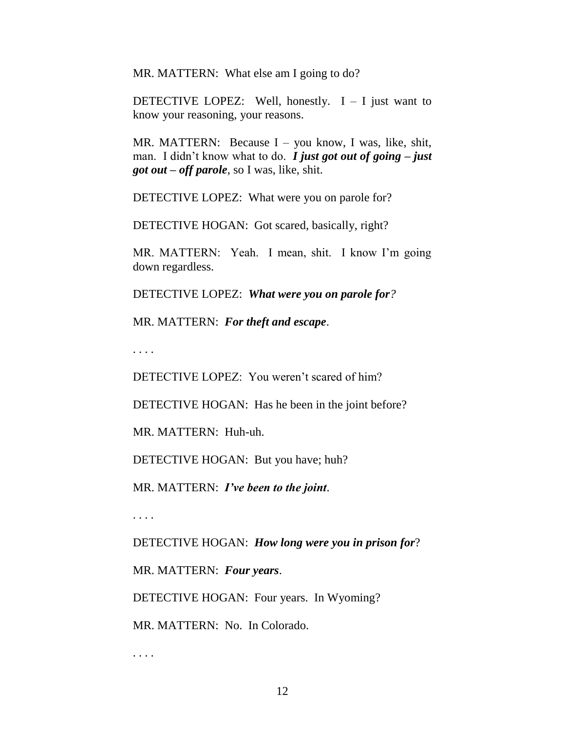MR. MATTERN: What else am I going to do?

DETECTIVE LOPEZ: Well, honestly.  $I - I$  just want to know your reasoning, your reasons.

MR. MATTERN: Because I – you know, I was, like, shit, man. I didn't know what to do. *I just got out of going – just got out – off parole*, so I was, like, shit.

DETECTIVE LOPEZ: What were you on parole for?

DETECTIVE HOGAN: Got scared, basically, right?

MR. MATTERN: Yeah. I mean, shit. I know I'm going down regardless.

DETECTIVE LOPEZ: *What were you on parole for?*

MR. MATTERN: *For theft and escape*.

. . . .

DETECTIVE LOPEZ: You weren't scared of him?

DETECTIVE HOGAN: Has he been in the joint before?

MR. MATTERN: Huh-uh.

DETECTIVE HOGAN: But you have; huh?

MR. MATTERN: *I've been to the joint*.

. . . .

DETECTIVE HOGAN: *How long were you in prison for*?

MR. MATTERN: *Four years*.

DETECTIVE HOGAN: Four years. In Wyoming?

MR. MATTERN: No. In Colorado.

. . . .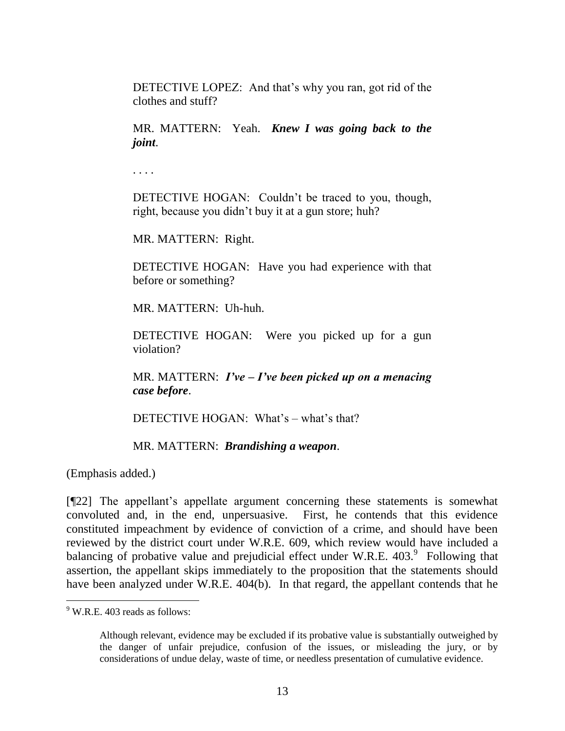DETECTIVE LOPEZ: And that's why you ran, got rid of the clothes and stuff?

MR. MATTERN: Yeah. *Knew I was going back to the joint*.

. . . .

DETECTIVE HOGAN: Couldn't be traced to you, though, right, because you didn't buy it at a gun store; huh?

MR. MATTERN: Right.

DETECTIVE HOGAN: Have you had experience with that before or something?

MR. MATTERN: Uh-huh.

DETECTIVE HOGAN: Were you picked up for a gun violation?

MR. MATTERN: *I've – I've been picked up on a menacing case before*.

DETECTIVE HOGAN: What's – what's that?

MR. MATTERN: *Brandishing a weapon*.

(Emphasis added.)

[¶22] The appellant's appellate argument concerning these statements is somewhat convoluted and, in the end, unpersuasive. First, he contends that this evidence constituted impeachment by evidence of conviction of a crime, and should have been reviewed by the district court under W.R.E. 609, which review would have included a balancing of probative value and prejudicial effect under W.R.E.  $403.^9$  Following that assertion, the appellant skips immediately to the proposition that the statements should have been analyzed under W.R.E. 404(b). In that regard, the appellant contends that he

<sup>&</sup>lt;sup>9</sup> W.R.E. 403 reads as follows:

Although relevant, evidence may be excluded if its probative value is substantially outweighed by the danger of unfair prejudice, confusion of the issues, or misleading the jury, or by considerations of undue delay, waste of time, or needless presentation of cumulative evidence.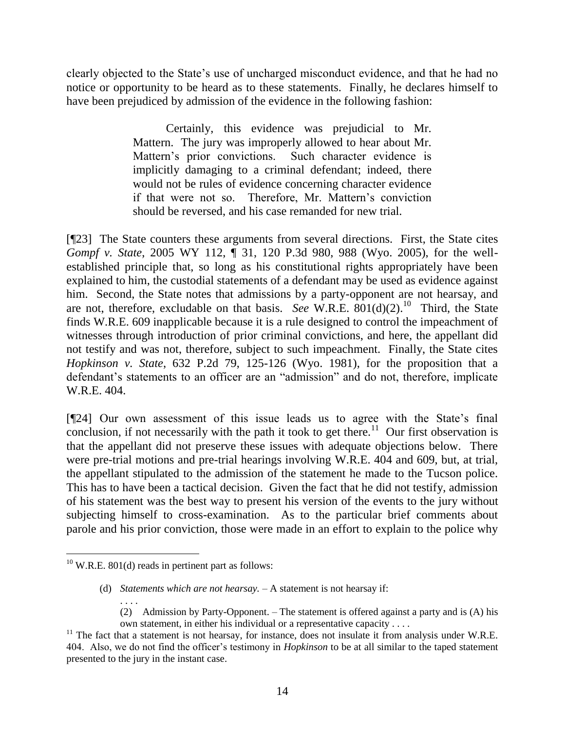clearly objected to the State's use of uncharged misconduct evidence, and that he had no notice or opportunity to be heard as to these statements. Finally, he declares himself to have been prejudiced by admission of the evidence in the following fashion:

> Certainly, this evidence was prejudicial to Mr. Mattern. The jury was improperly allowed to hear about Mr. Mattern's prior convictions. Such character evidence is implicitly damaging to a criminal defendant; indeed, there would not be rules of evidence concerning character evidence if that were not so. Therefore, Mr. Mattern's conviction should be reversed, and his case remanded for new trial.

[¶23] The State counters these arguments from several directions. First, the State cites *Gompf v. State*, 2005 WY 112, ¶ 31, 120 P.3d 980, 988 (Wyo. 2005), for the wellestablished principle that, so long as his constitutional rights appropriately have been explained to him, the custodial statements of a defendant may be used as evidence against him. Second, the State notes that admissions by a party-opponent are not hearsay, and are not, therefore, excludable on that basis. *See* W.R.E.  $\frac{801(d)(2)}{10}$  Third, the State finds W.R.E. 609 inapplicable because it is a rule designed to control the impeachment of witnesses through introduction of prior criminal convictions, and here, the appellant did not testify and was not, therefore, subject to such impeachment. Finally, the State cites *Hopkinson v. State*, 632 P.2d 79, 125-126 (Wyo. 1981), for the proposition that a defendant's statements to an officer are an "admission" and do not, therefore, implicate W.R.E. 404.

[¶24] Our own assessment of this issue leads us to agree with the State's final conclusion, if not necessarily with the path it took to get there.<sup>11</sup> Our first observation is that the appellant did not preserve these issues with adequate objections below. There were pre-trial motions and pre-trial hearings involving W.R.E. 404 and 609, but, at trial, the appellant stipulated to the admission of the statement he made to the Tucson police. This has to have been a tactical decision. Given the fact that he did not testify, admission of his statement was the best way to present his version of the events to the jury without subjecting himself to cross-examination. As to the particular brief comments about parole and his prior conviction, those were made in an effort to explain to the police why

 $10$  W.R.E. 801(d) reads in pertinent part as follows:

<sup>(</sup>d) *Statements which are not hearsay.* – A statement is not hearsay if: . . . .

<sup>(2)</sup> Admission by Party-Opponent. – The statement is offered against a party and is (A) his own statement, in either his individual or a representative capacity . . . .

 $11$  The fact that a statement is not hearsay, for instance, does not insulate it from analysis under W.R.E. 404. Also, we do not find the officer's testimony in *Hopkinson* to be at all similar to the taped statement presented to the jury in the instant case.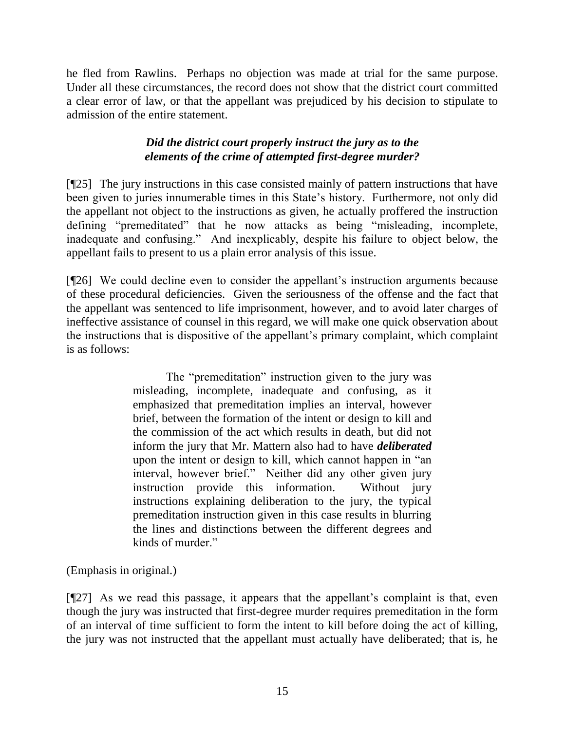he fled from Rawlins. Perhaps no objection was made at trial for the same purpose. Under all these circumstances, the record does not show that the district court committed a clear error of law, or that the appellant was prejudiced by his decision to stipulate to admission of the entire statement.

# *Did the district court properly instruct the jury as to the elements of the crime of attempted first-degree murder?*

[¶25] The jury instructions in this case consisted mainly of pattern instructions that have been given to juries innumerable times in this State's history. Furthermore, not only did the appellant not object to the instructions as given, he actually proffered the instruction defining "premeditated" that he now attacks as being "misleading, incomplete, inadequate and confusing." And inexplicably, despite his failure to object below, the appellant fails to present to us a plain error analysis of this issue.

[¶26] We could decline even to consider the appellant's instruction arguments because of these procedural deficiencies. Given the seriousness of the offense and the fact that the appellant was sentenced to life imprisonment, however, and to avoid later charges of ineffective assistance of counsel in this regard, we will make one quick observation about the instructions that is dispositive of the appellant's primary complaint, which complaint is as follows:

> The "premeditation" instruction given to the jury was misleading, incomplete, inadequate and confusing, as it emphasized that premeditation implies an interval, however brief, between the formation of the intent or design to kill and the commission of the act which results in death, but did not inform the jury that Mr. Mattern also had to have *deliberated*  upon the intent or design to kill, which cannot happen in "an interval, however brief." Neither did any other given jury instruction provide this information. Without jury instructions explaining deliberation to the jury, the typical premeditation instruction given in this case results in blurring the lines and distinctions between the different degrees and kinds of murder."

(Emphasis in original.)

[¶27] As we read this passage, it appears that the appellant's complaint is that, even though the jury was instructed that first-degree murder requires premeditation in the form of an interval of time sufficient to form the intent to kill before doing the act of killing, the jury was not instructed that the appellant must actually have deliberated; that is, he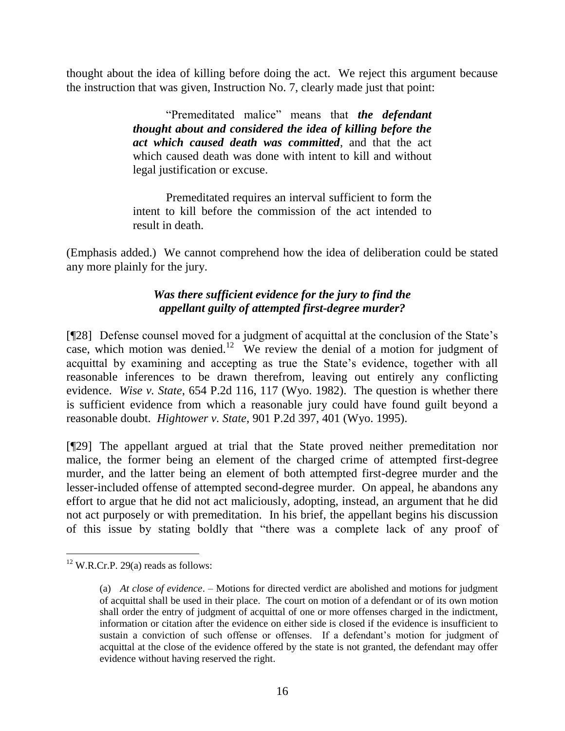thought about the idea of killing before doing the act. We reject this argument because the instruction that was given, Instruction No. 7, clearly made just that point:

> ―Premeditated malice‖ means that *the defendant thought about and considered the idea of killing before the act which caused death was committed*, and that the act which caused death was done with intent to kill and without legal justification or excuse.

> Premeditated requires an interval sufficient to form the intent to kill before the commission of the act intended to result in death.

(Emphasis added.) We cannot comprehend how the idea of deliberation could be stated any more plainly for the jury.

# *Was there sufficient evidence for the jury to find the appellant guilty of attempted first-degree murder?*

[¶28] Defense counsel moved for a judgment of acquittal at the conclusion of the State's case, which motion was denied.<sup>12</sup> We review the denial of a motion for judgment of acquittal by examining and accepting as true the State's evidence, together with all reasonable inferences to be drawn therefrom, leaving out entirely any conflicting evidence. *Wise v. State*, 654 P.2d 116, 117 (Wyo. 1982). The question is whether there is sufficient evidence from which a reasonable jury could have found guilt beyond a reasonable doubt. *Hightower v. State*, 901 P.2d 397, 401 (Wyo. 1995).

[¶29] The appellant argued at trial that the State proved neither premeditation nor malice, the former being an element of the charged crime of attempted first-degree murder, and the latter being an element of both attempted first-degree murder and the lesser-included offense of attempted second-degree murder. On appeal, he abandons any effort to argue that he did not act maliciously, adopting, instead, an argument that he did not act purposely or with premeditation. In his brief, the appellant begins his discussion of this issue by stating boldly that "there was a complete lack of any proof of

 $12$  W.R.Cr.P. 29(a) reads as follows:

<sup>(</sup>a) *At close of evidence*. – Motions for directed verdict are abolished and motions for judgment of acquittal shall be used in their place. The court on motion of a defendant or of its own motion shall order the entry of judgment of acquittal of one or more offenses charged in the indictment, information or citation after the evidence on either side is closed if the evidence is insufficient to sustain a conviction of such offense or offenses. If a defendant's motion for judgment of acquittal at the close of the evidence offered by the state is not granted, the defendant may offer evidence without having reserved the right.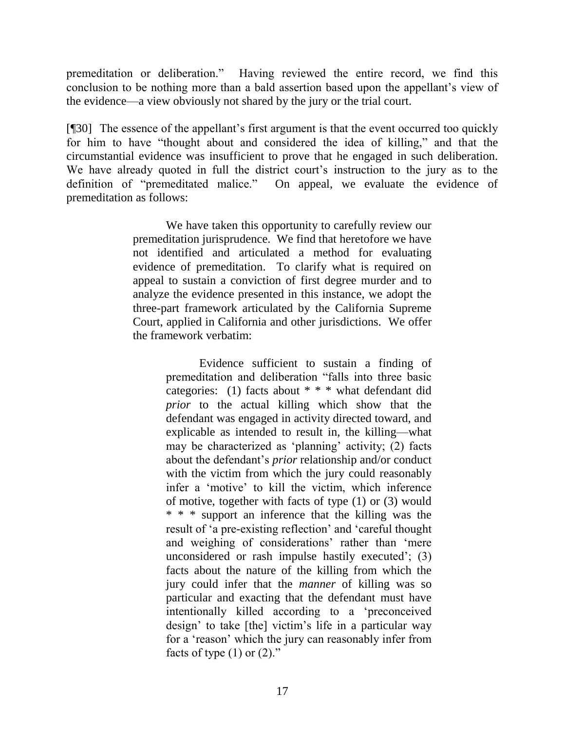premeditation or deliberation." Having reviewed the entire record, we find this conclusion to be nothing more than a bald assertion based upon the appellant's view of the evidence—a view obviously not shared by the jury or the trial court.

[¶30] The essence of the appellant's first argument is that the event occurred too quickly for him to have "thought about and considered the idea of killing," and that the circumstantial evidence was insufficient to prove that he engaged in such deliberation. We have already quoted in full the district court's instruction to the jury as to the definition of "premeditated malice." On appeal, we evaluate the evidence of premeditation as follows:

> We have taken this opportunity to carefully review our premeditation jurisprudence. We find that heretofore we have not identified and articulated a method for evaluating evidence of premeditation. To clarify what is required on appeal to sustain a conviction of first degree murder and to analyze the evidence presented in this instance, we adopt the three-part framework articulated by the California Supreme Court, applied in California and other jurisdictions. We offer the framework verbatim:

> > Evidence sufficient to sustain a finding of premeditation and deliberation "falls into three basic categories: (1) facts about \* \* \* what defendant did *prior* to the actual killing which show that the defendant was engaged in activity directed toward, and explicable as intended to result in, the killing—what may be characterized as 'planning' activity;  $(2)$  facts about the defendant's *prior* relationship and/or conduct with the victim from which the jury could reasonably infer a 'motive' to kill the victim, which inference of motive, together with facts of type (1) or (3) would \* \* \* support an inference that the killing was the result of 'a pre-existing reflection' and 'careful thought and weighing of considerations' rather than 'mere unconsidered or rash impulse hastily executed'; (3) facts about the nature of the killing from which the jury could infer that the *manner* of killing was so particular and exacting that the defendant must have intentionally killed according to a 'preconceived design' to take [the] victim's life in a particular way for a 'reason' which the jury can reasonably infer from facts of type  $(1)$  or  $(2)$ ."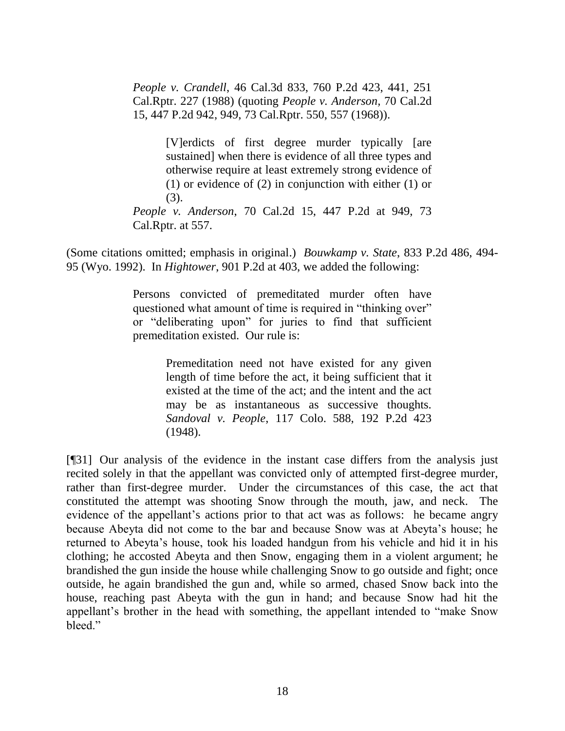*People v. Crandell*, 46 Cal.3d 833, 760 P.2d 423, 441, 251 Cal.Rptr. 227 (1988) (quoting *People v. Anderson,* 70 Cal.2d 15, 447 P.2d 942, 949, 73 Cal.Rptr. 550, 557 (1968)).

> [V]erdicts of first degree murder typically [are sustained] when there is evidence of all three types and otherwise require at least extremely strong evidence of (1) or evidence of (2) in conjunction with either (1) or (3).

*People v. Anderson*, 70 Cal.2d 15, 447 P.2d at 949, 73 Cal.Rptr. at 557.

(Some citations omitted; emphasis in original.) *Bouwkamp v. State*, 833 P.2d 486, 494- 95 (Wyo. 1992). In *Hightower*, 901 P.2d at 403, we added the following:

> Persons convicted of premeditated murder often have questioned what amount of time is required in "thinking over" or "deliberating upon" for juries to find that sufficient premeditation existed. Our rule is:

> > Premeditation need not have existed for any given length of time before the act, it being sufficient that it existed at the time of the act; and the intent and the act may be as instantaneous as successive thoughts. *Sandoval v. People*, 117 Colo. 588, 192 P.2d 423 (1948).

[¶31] Our analysis of the evidence in the instant case differs from the analysis just recited solely in that the appellant was convicted only of attempted first-degree murder, rather than first-degree murder. Under the circumstances of this case, the act that constituted the attempt was shooting Snow through the mouth, jaw, and neck. The evidence of the appellant's actions prior to that act was as follows: he became angry because Abeyta did not come to the bar and because Snow was at Abeyta's house; he returned to Abeyta's house, took his loaded handgun from his vehicle and hid it in his clothing; he accosted Abeyta and then Snow, engaging them in a violent argument; he brandished the gun inside the house while challenging Snow to go outside and fight; once outside, he again brandished the gun and, while so armed, chased Snow back into the house, reaching past Abeyta with the gun in hand; and because Snow had hit the appellant's brother in the head with something, the appellant intended to "make Snow" bleed."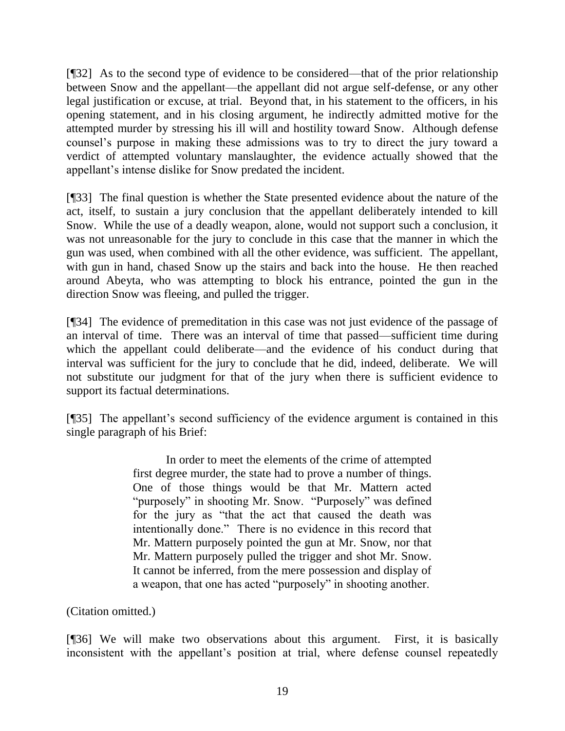[¶32] As to the second type of evidence to be considered—that of the prior relationship between Snow and the appellant—the appellant did not argue self-defense, or any other legal justification or excuse, at trial. Beyond that, in his statement to the officers, in his opening statement, and in his closing argument, he indirectly admitted motive for the attempted murder by stressing his ill will and hostility toward Snow. Although defense counsel's purpose in making these admissions was to try to direct the jury toward a verdict of attempted voluntary manslaughter, the evidence actually showed that the appellant's intense dislike for Snow predated the incident.

[¶33] The final question is whether the State presented evidence about the nature of the act, itself, to sustain a jury conclusion that the appellant deliberately intended to kill Snow. While the use of a deadly weapon, alone, would not support such a conclusion, it was not unreasonable for the jury to conclude in this case that the manner in which the gun was used, when combined with all the other evidence, was sufficient. The appellant, with gun in hand, chased Snow up the stairs and back into the house. He then reached around Abeyta, who was attempting to block his entrance, pointed the gun in the direction Snow was fleeing, and pulled the trigger.

[¶34] The evidence of premeditation in this case was not just evidence of the passage of an interval of time. There was an interval of time that passed—sufficient time during which the appellant could deliberate—and the evidence of his conduct during that interval was sufficient for the jury to conclude that he did, indeed, deliberate. We will not substitute our judgment for that of the jury when there is sufficient evidence to support its factual determinations.

[¶35] The appellant's second sufficiency of the evidence argument is contained in this single paragraph of his Brief:

> In order to meet the elements of the crime of attempted first degree murder, the state had to prove a number of things. One of those things would be that Mr. Mattern acted "purposely" in shooting Mr. Snow. "Purposely" was defined for the jury as "that the act that caused the death was intentionally done." There is no evidence in this record that Mr. Mattern purposely pointed the gun at Mr. Snow, nor that Mr. Mattern purposely pulled the trigger and shot Mr. Snow. It cannot be inferred, from the mere possession and display of a weapon, that one has acted "purposely" in shooting another.

(Citation omitted.)

[¶36] We will make two observations about this argument. First, it is basically inconsistent with the appellant's position at trial, where defense counsel repeatedly